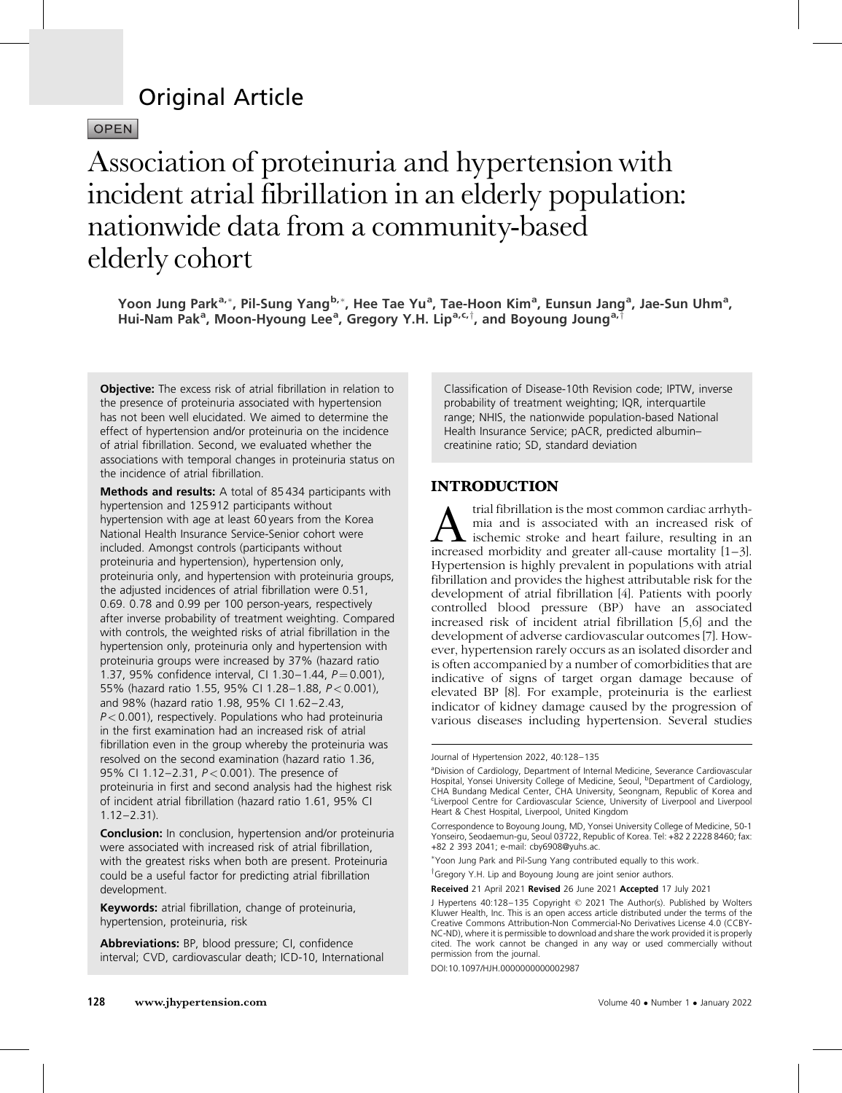# Original Article

## OPEN

# Association of proteinuria and hypertension with incident atrial fibrillation in an elderly population: nationwide data from a community-based elderly cohort

Yoon Jung Park<sup>a,</sup>\*, Pil-Sung Yang<sup>b,</sup>\*, Hee Tae Yu<sup>a</sup>, Tae-Hoon Kim<sup>a</sup>, Eunsun Jang<sup>a</sup>, Jae-Sun Uhm<sup>a</sup>, Hui-Nam Pak<sup>a</sup>, Moon-Hyoung Lee<sup>a</sup>, Gregory Y.H. Lip<sup>a,c,†</sup>, and Boyoung Joung<sup>a,†</sup>

**Objective:** The excess risk of atrial fibrillation in relation to the presence of proteinuria associated with hypertension has not been well elucidated. We aimed to determine the effect of hypertension and/or proteinuria on the incidence of atrial fibrillation. Second, we evaluated whether the associations with temporal changes in proteinuria status on the incidence of atrial fibrillation.

Methods and results: A total of 85434 participants with hypertension and 125 912 participants without hypertension with age at least 60 years from the Korea National Health Insurance Service-Senior cohort were included. Amongst controls (participants without proteinuria and hypertension), hypertension only, proteinuria only, and hypertension with proteinuria groups, the adjusted incidences of atrial fibrillation were 0.51, 0.69. 0.78 and 0.99 per 100 person-years, respectively after inverse probability of treatment weighting. Compared with controls, the weighted risks of atrial fibrillation in the hypertension only, proteinuria only and hypertension with proteinuria groups were increased by 37% (hazard ratio 1.37, 95% confidence interval, CI 1.30-1.44,  $P = 0.001$ ), 55% (hazard ratio 1.55, 95% CI 1.28-1.88,  $P < 0.001$ ), and 98% (hazard ratio 1.98, 95% CI 1.62–2.43,  $P < 0.001$ ), respectively. Populations who had proteinuria in the first examination had an increased risk of atrial fibrillation even in the group whereby the proteinuria was resolved on the second examination (hazard ratio 1.36, 95% CI 1.12-2.31, *P* < 0.001). The presence of proteinuria in first and second analysis had the highest risk of incident atrial fibrillation (hazard ratio 1.61, 95% CI 1.12–2.31).

**Conclusion:** In conclusion, hypertension and/or proteinuria were associated with increased risk of atrial fibrillation, with the greatest risks when both are present. Proteinuria could be a useful factor for predicting atrial fibrillation development.

Keywords: atrial fibrillation, change of proteinuria, hypertension, proteinuria, risk

Abbreviations: BP, blood pressure; CI, confidence interval; CVD, cardiovascular death; ICD-10, International Classification of Disease-10th Revision code; IPTW, inverse probability of treatment weighting; IQR, interquartile range; NHIS, the nationwide population-based National Health Insurance Service; pACR, predicted albumin– creatinine ratio; SD, standard deviation

## INTRODUCTION

*A* trial fibrillation is the most common cardiac arrhythmia and is associated with an increased risk of ischemic stroke and heart failure, resulting in an increased morbidity and greater all-cause mortality [1–3]. mia and is associated with an increased risk of increased morbidity and greater all-cause mortality [\[1–3\]](#page-6-0). Hypertension is highly prevalent in populations with atrial fibrillation and provides the highest attributable risk for the development of atrial fibrillation [\[4\]](#page-6-0). Patients with poorly controlled blood pressure (BP) have an associated increased risk of incident atrial fibrillation [\[5,6\]](#page-6-0) and the development of adverse cardiovascular outcomes [\[7\]](#page-7-0). However, hypertension rarely occurs as an isolated disorder and is often accompanied by a number of comorbidities that are indicative of signs of target organ damage because of elevated BP [\[8\].](#page-7-0) For example, proteinuria is the earliest indicator of kidney damage caused by the progression of various diseases including hypertension. Several studies

DOI:10.1097/HJH.0000000000002987

Journal of Hypertension 2022, 40:128–135

<sup>&</sup>lt;sup>a</sup>Division of Cardiology, Department of Internal Medicine, Severance Cardiovascular<br>Hospital, Yonsei University College of Medicine, Seoul, <sup>b</sup>Department of Cardiology, CHA Bundang Medical Center, CHA University, Seongnam, Republic of Korea and c Liverpool Centre for Cardiovascular Science, University of Liverpool and Liverpool Heart & Chest Hospital, Liverpool, United Kingdom

Correspondence to Boyoung Joung, MD, Yonsei University College of Medicine, 50-1 Yonseiro, Seodaemun-gu, Seoul 03722, Republic of Korea. Tel: +82 2 2228 8460; fax: +82 2 393 2041; e-mail: [cby6908@yuhs.ac](mailto:cby6908@yuhs.ac).

<sup>-</sup> Yoon Jung Park and Pil-Sung Yang contributed equally to this work.

<sup>&</sup>lt;sup>†</sup>Gregory Y.H. Lip and Boyoung Joung are joint senior authors.

Received 21 April 2021 Revised 26 June 2021 Accepted 17 July 2021

J Hypertens 40:128–135 Copyright © 2021 The Author(s). Published by Wolters Kluwer Health, Inc. This is an open access article distributed under the terms of the Creative Commons Attribution-Non Commercial-No Derivatives License 4.0 (CCBY-NC-ND), where it is permissible to download and share the work provided it is properly cited. The work cannot be changed in any way or used commercially without permission from the journal.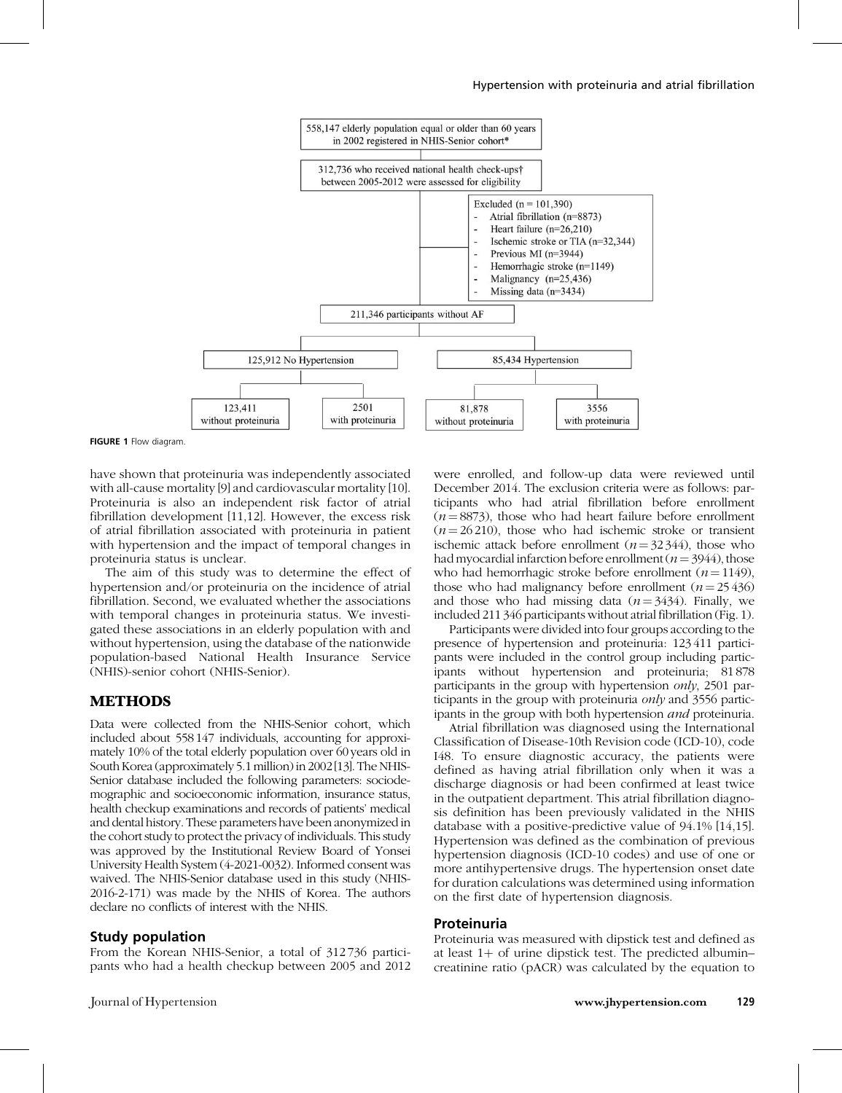

FIGURE 1 Flow diagram.

have shown that proteinuria was independently associated with all-cause mortality [\[9\]](#page-7-0) and cardiovascular mortality [\[10\].](#page-7-0) Proteinuria is also an independent risk factor of atrial fibrillation development [\[11,12\]](#page-7-0). However, the excess risk of atrial fibrillation associated with proteinuria in patient with hypertension and the impact of temporal changes in proteinuria status is unclear.

The aim of this study was to determine the effect of hypertension and/or proteinuria on the incidence of atrial fibrillation. Second, we evaluated whether the associations with temporal changes in proteinuria status. We investigated these associations in an elderly population with and without hypertension, using the database of the nationwide population-based National Health Insurance Service (NHIS)-senior cohort (NHIS-Senior).

#### METHODS

Data were collected from the NHIS-Senior cohort, which included about 558 147 individuals, accounting for approximately 10% of the total elderly population over 60 years old in South Korea (approximately 5.1 million) in 2002 [\[13\].](#page-7-0) The NHIS-Senior database included the following parameters: sociodemographic and socioeconomic information, insurance status, health checkup examinations and records of patients' medical and dental history. These parameters have been anonymized in the cohort study to protect the privacy of individuals. This study was approved by the Institutional Review Board of Yonsei University Health System (4-2021-0032). Informed consent was waived. The NHIS-Senior database used in this study (NHIS-2016-2-171) was made by the NHIS of Korea. The authors declare no conflicts of interest with the NHIS.

#### Study population

From the Korean NHIS-Senior, a total of 312 736 participants who had a health checkup between 2005 and 2012 were enrolled, and follow-up data were reviewed until December 2014. The exclusion criteria were as follows: participants who had atrial fibrillation before enrollment  $(n=8873)$ , those who had heart failure before enrollment  $(n = 26210)$ , those who had ischemic stroke or transient ischemic attack before enrollment ( $n = 32344$ ), those who had myocardial infarction before enrollment ( $n = 3944$ ), those who had hemorrhagic stroke before enrollment ( $n = 1149$ ), those who had malignancy before enrollment  $(n = 25436)$ and those who had missing data  $(n = 3434)$ . Finally, we included 211 346 participants without atrial fibrillation (Fig. 1).

Participants were divided into four groups according to the presence of hypertension and proteinuria: 123 411 participants were included in the control group including participants without hypertension and proteinuria; 81 878 participants in the group with hypertension only, 2501 participants in the group with proteinuria *only* and 3556 participants in the group with both hypertension and proteinuria.

Atrial fibrillation was diagnosed using the International Classification of Disease-10th Revision code (ICD-10), code I48. To ensure diagnostic accuracy, the patients were defined as having atrial fibrillation only when it was a discharge diagnosis or had been confirmed at least twice in the outpatient department. This atrial fibrillation diagnosis definition has been previously validated in the NHIS database with a positive-predictive value of 94.1% [\[14,15\]](#page-7-0). Hypertension was defined as the combination of previous hypertension diagnosis (ICD-10 codes) and use of one or more antihypertensive drugs. The hypertension onset date for duration calculations was determined using information on the first date of hypertension diagnosis.

#### Proteinuria

Proteinuria was measured with dipstick test and defined as at least  $1+$  of urine dipstick test. The predicted albumin– creatinine ratio (pACR) was calculated by the equation to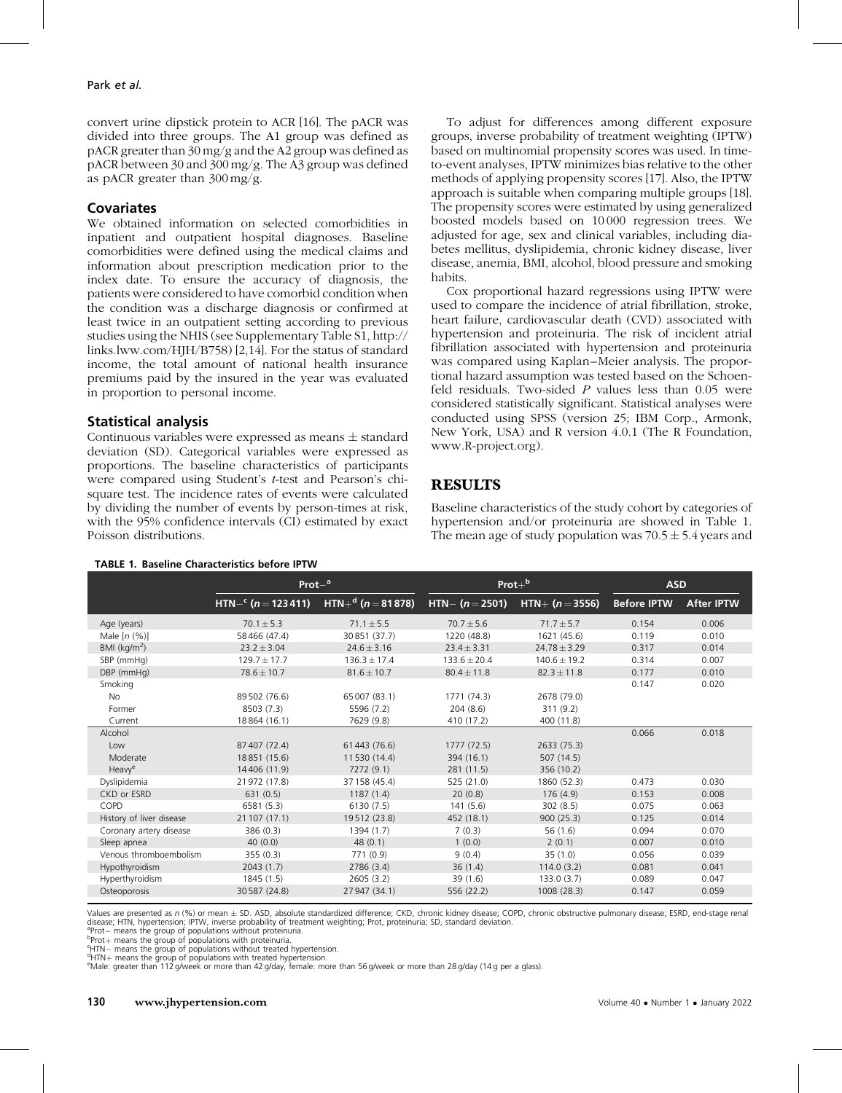#### Park et al.

convert urine dipstick protein to ACR [\[16\].](#page-7-0) The pACR was divided into three groups. The A1 group was defined as pACR greater than 30 mg/g and the A2 group was defined as pACR between 30 and 300 mg/g. The A3 group was defined as pACR greater than 300 mg/g.

#### **Covariates**

We obtained information on selected comorbidities in inpatient and outpatient hospital diagnoses. Baseline comorbidities were defined using the medical claims and information about prescription medication prior to the index date. To ensure the accuracy of diagnosis, the patients were considered to have comorbid condition when the condition was a discharge diagnosis or confirmed at least twice in an outpatient setting according to previous studies using the NHIS (see Supplementary Table S1, [http://](http://links.lww.com/HJH/B758) [links.lww.com/HJH/B758](http://links.lww.com/HJH/B758)) [\[2,14\]](#page-6-0). For the status of standard income, the total amount of national health insurance premiums paid by the insured in the year was evaluated in proportion to personal income.

## Statistical analysis

Continuous variables were expressed as means  $\pm$  standard deviation (SD). Categorical variables were expressed as proportions. The baseline characteristics of participants were compared using Student's t-test and Pearson's chisquare test. The incidence rates of events were calculated by dividing the number of events by person-times at risk, with the 95% confidence intervals (CI) estimated by exact Poisson distributions.

TABLE 1. Baseline Characteristics before IPTW

To adjust for differences among different exposure groups, inverse probability of treatment weighting (IPTW) based on multinomial propensity scores was used. In timeto-event analyses, IPTW minimizes bias relative to the other methods of applying propensity scores [\[17\].](#page-7-0) Also, the IPTW approach is suitable when comparing multiple groups [\[18\]](#page-7-0). The propensity scores were estimated by using generalized boosted models based on 10 000 regression trees. We adjusted for age, sex and clinical variables, including diabetes mellitus, dyslipidemia, chronic kidney disease, liver disease, anemia, BMI, alcohol, blood pressure and smoking habits.

Cox proportional hazard regressions using IPTW were used to compare the incidence of atrial fibrillation, stroke, heart failure, cardiovascular death (CVD) associated with hypertension and proteinuria. The risk of incident atrial fibrillation associated with hypertension and proteinuria was compared using Kaplan–Meier analysis. The proportional hazard assumption was tested based on the Schoenfeld residuals. Two-sided  $P$  values less than 0.05 were considered statistically significant. Statistical analyses were conducted using SPSS (version 25; IBM Corp., Armonk, New York, USA) and R version 4.0.1 (The R Foundation, [www.R-project.org\)](http://www.r-project.org/).

## **RESULTS**

Baseline characteristics of the study cohort by categories of hypertension and/or proteinuria are showed in Table 1. The mean age of study population was  $70.5 \pm 5.4$  years and

|                          | $Prot-a$                           |                      | $Prot +b$          |                   | <b>ASD</b>         |                   |
|--------------------------|------------------------------------|----------------------|--------------------|-------------------|--------------------|-------------------|
|                          | HTN $-$ <sup>c</sup> (n = 123 411) | $HTN+d$ (n = 81 878) | $HTN - (n = 2501)$ | $HTN+ (n = 3556)$ | <b>Before IPTW</b> | <b>After IPTW</b> |
| Age (years)              | $70.1 \pm 5.3$                     | $71.1 \pm 5.5$       | $70.7 \pm 5.6$     | $71.7 \pm 5.7$    | 0.154              | 0.006             |
| Male $[n (%)]$           | 58 466 (47.4)                      | 30 851 (37.7)        | 1220 (48.8)        | 1621 (45.6)       | 0.119              | 0.010             |
| BMI ( $kg/m2$ )          | $23.2 \pm 3.04$                    | $24.6 \pm 3.16$      | $23.4 \pm 3.31$    | $24.78 \pm 3.29$  | 0.317              | 0.014             |
| SBP (mmHa)               | $129.7 \pm 17.7$                   | $136.3 \pm 17.4$     | $133.6 \pm 20.4$   | $140.6 \pm 19.2$  | 0.314              | 0.007             |
| DBP (mmHg)               | $78.6 \pm 10.7$                    | $81.6 \pm 10.7$      | $80.4 \pm 11.8$    | $82.3 \pm 11.8$   | 0.177              | 0.010             |
| Smoking                  |                                    |                      |                    |                   | 0.147              | 0.020             |
| <b>No</b>                | 89 502 (76.6)                      | 65 007 (83.1)        | 1771 (74.3)        | 2678 (79.0)       |                    |                   |
| Former                   | 8503 (7.3)                         | 5596 (7.2)           | 204(8.6)           | 311(9.2)          |                    |                   |
| Current                  | 18864 (16.1)                       | 7629 (9.8)           | 410 (17.2)         | 400 (11.8)        |                    |                   |
| Alcohol                  |                                    |                      |                    |                   | 0.066              | 0.018             |
| Low                      | 87 407 (72.4)                      | 61 443 (76.6)        | 1777 (72.5)        | 2633 (75.3)       |                    |                   |
| Moderate                 | 18851 (15.6)                       | 11 530 (14.4)        | 394 (16.1)         | 507 (14.5)        |                    |                   |
| Heavy <sup>e</sup>       | 14 4 06 (11.9)                     | 7272 (9.1)           | 281 (11.5)         | 356 (10.2)        |                    |                   |
| Dyslipidemia             | 21972 (17.8)                       | 37 158 (45.4)        | 525 (21.0)         | 1860 (52.3)       | 0.473              | 0.030             |
| CKD or ESRD              | 631(0.5)                           | 1187(1.4)            | 20(0.8)            | 176 (4.9)         | 0.153              | 0.008             |
| COPD                     | 6581 (5.3)                         | 6130 (7.5)           | 141(5.6)           | 302(8.5)          | 0.075              | 0.063             |
| History of liver disease | 21 107 (17.1)                      | 19512 (23.8)         | 452 (18.1)         | 900(25.3)         | 0.125              | 0.014             |
| Coronary artery disease  | 386 (0.3)                          | 1394 (1.7)           | 7(0.3)             | 56(1.6)           | 0.094              | 0.070             |
| Sleep apnea              | 40(0.0)                            | 48(0,1)              | 1(0.0)             | 2(0.1)            | 0.007              | 0.010             |
| Venous thromboembolism   | 355(0.3)                           | 771 (0.9)            | 9(0.4)             | 35(1.0)           | 0.056              | 0.039             |
| Hypothyroidism           | 2043(1.7)                          | 2786 (3.4)           | 36(1.4)            | 114.0(3.2)        | 0.081              | 0.041             |
| Hyperthyroidism          | 1845 (1.5)                         | 2605(3.2)            | 39 (1.6)           | 133.0(3.7)        | 0.089              | 0.047             |
| Osteoporosis             | 30 587 (24.8)                      | 27 947 (34.1)        | 556 (22.2)         | 1008 (28.3)       | 0.147              | 0.059             |

Values are presented as n (%) or mean ± SD. ASD, absolute standardized difference; CKD, chronic kidney disease; COPD, chronic obstructive pulmonary disease; ESRD, end-stage renal<br>disease; HTN, hypertension; IPTW, inverse p

Pprot+ means the group of populations with proteinuria.<br>"HTN — means the group of populations without treated hypertension.<br>"HTN — means the group of populations with treated hypertension.  $d$ HTN $+$  means the group of populations with treated hypertension.

<sup>e</sup>Male: greater than 112 g/week or more than 42 g/day, female: more than 56 g/week or more than 28 g/day (14 g per a glass).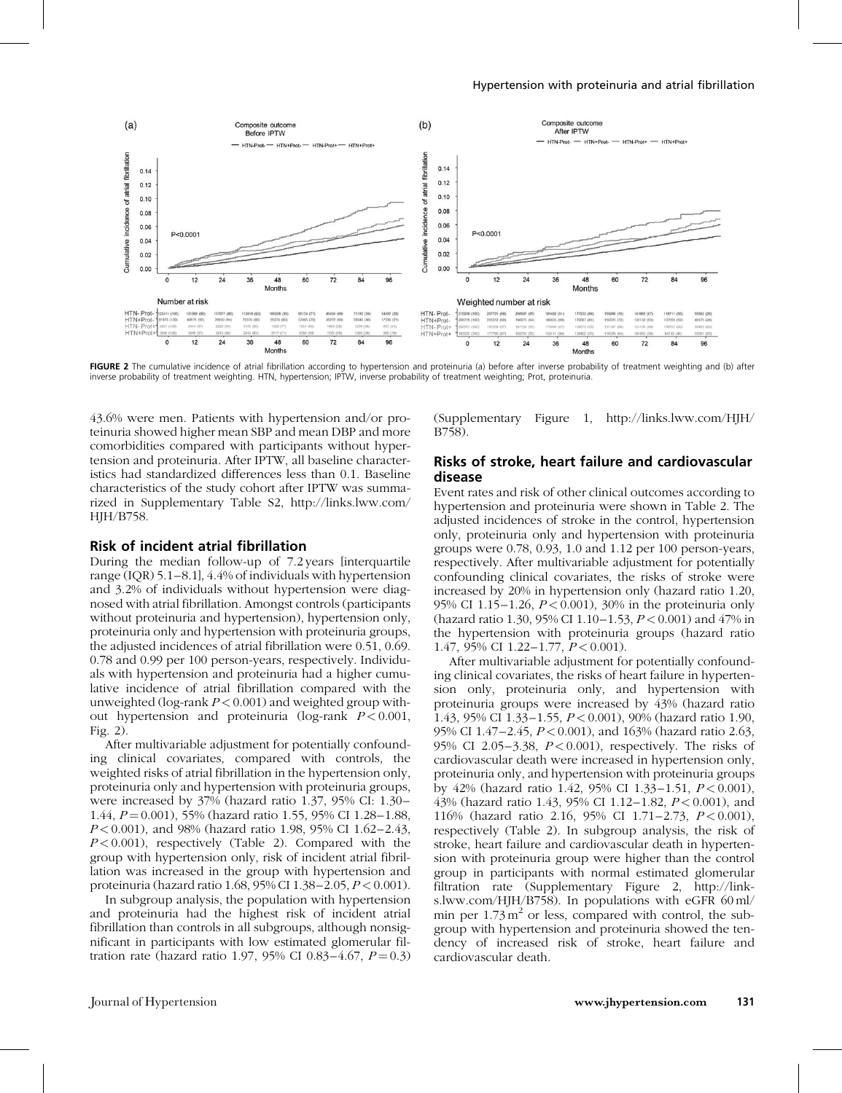

FIGURE 2 The cumulative incidence of atrial fibrillation according to hypertension and proteinuria (a) before after inverse probability of treatment weighting and (b) after inverse probability of treatment weighting. HTN, hypertension; IPTW, inverse probability of treatment weighting; Prot, proteinuria.

43.6% were men. Patients with hypertension and/or proteinuria showed higher mean SBP and mean DBP and more comorbidities compared with participants without hypertension and proteinuria. After IPTW, all baseline characteristics had standardized differences less than 0.1. Baseline characteristics of the study cohort after IPTW was summarized in Supplementary Table S2, [http://links.lww.com/](http://links.lww.com/HJH/B758) HIH/B758.

#### Risk of incident atrial fibrillation

During the median follow-up of 7.2 years [interquartile range (IQR) 5.1–8.1], 4.4% of individuals with hypertension and 3.2% of individuals without hypertension were diagnosed with atrial fibrillation. Amongst controls (participants without proteinuria and hypertension), hypertension only, proteinuria only and hypertension with proteinuria groups, the adjusted incidences of atrial fibrillation were 0.51, 0.69. 0.78 and 0.99 per 100 person-years, respectively. Individuals with hypertension and proteinuria had a higher cumulative incidence of atrial fibrillation compared with the unweighted (log-rank  $P < 0.001$ ) and weighted group without hypertension and proteinuria (log-rank  $P < 0.001$ , Fig. 2).

After multivariable adjustment for potentially confounding clinical covariates, compared with controls, the weighted risks of atrial fibrillation in the hypertension only, proteinuria only and hypertension with proteinuria groups, were increased by 37% (hazard ratio 1.37, 95% CI: 1.30– 1.44,  $P = 0.001$ ), 55% (hazard ratio 1.55, 95% CI 1.28–1.88, P < 0.001), and 98% (hazard ratio 1.98, 95% CI 1.62–2.43,  $P < 0.001$ ), respectively (Table 2). Compared with the group with hypertension only, risk of incident atrial fibrillation was increased in the group with hypertension and proteinuria (hazard ratio 1.68, 95% CI 1.38–2.05,  $P < 0.001$ ).

In subgroup analysis, the population with hypertension and proteinuria had the highest risk of incident atrial fibrillation than controls in all subgroups, although nonsignificant in participants with low estimated glomerular filtration rate (hazard ratio 1.97, 95% CI 0.83-4.67,  $P = 0.3$ )

(Supplementary Figure 1, [http://links.lww.com/HJH/](http://links.lww.com/HJH/B758) [B758\)](http://links.lww.com/HJH/B758).

#### Risks of stroke, heart failure and cardiovascular disease

Event rates and risk of other clinical outcomes according to hypertension and proteinuria were shown in Table 2. The adjusted incidences of stroke in the control, hypertension only, proteinuria only and hypertension with proteinuria groups were 0.78, 0.93, 1.0 and 1.12 per 100 person-years, respectively. After multivariable adjustment for potentially confounding clinical covariates, the risks of stroke were increased by 20% in hypertension only (hazard ratio 1.20, 95% CI 1.15–1.26,  $P < 0.001$ ), 30% in the proteinuria only (hazard ratio 1.30, 95% CI 1.10–1.53, P < 0.001) and 47% in the hypertension with proteinuria groups (hazard ratio 1.47, 95% CI 1.22–1.77,  $P < 0.001$ ).

After multivariable adjustment for potentially confounding clinical covariates, the risks of heart failure in hypertension only, proteinuria only, and hypertension with proteinuria groups were increased by 43% (hazard ratio 1.43, 95% CI 1.33–1.55, P < 0.001), 90% (hazard ratio 1.90, 95% CI 1.47–2.45, P < 0.001), and 163% (hazard ratio 2.63, 95% CI 2.05–3.38,  $P < 0.001$ ), respectively. The risks of cardiovascular death were increased in hypertension only, proteinuria only, and hypertension with proteinuria groups by 42% (hazard ratio 1.42, 95% CI 1.33-1.51,  $P < 0.001$ ), 43% (hazard ratio 1.43, 95% CI 1.12–1.82, P < 0.001), and 116% (hazard ratio 2.16, 95% CI 1.71-2.73, P < 0.001), respectively (Table 2). In subgroup analysis, the risk of stroke, heart failure and cardiovascular death in hypertension with proteinuria group were higher than the control group in participants with normal estimated glomerular filtration rate (Supplementary Figure 2, [http://link](http://links.lww.com/HJH/B758)[s.lww.com/HJH/B758](http://links.lww.com/HJH/B758)). In populations with eGFR 60 ml/ min per  $1.73 \text{ m}^2$  or less, compared with control, the subgroup with hypertension and proteinuria showed the tendency of increased risk of stroke, heart failure and cardiovascular death.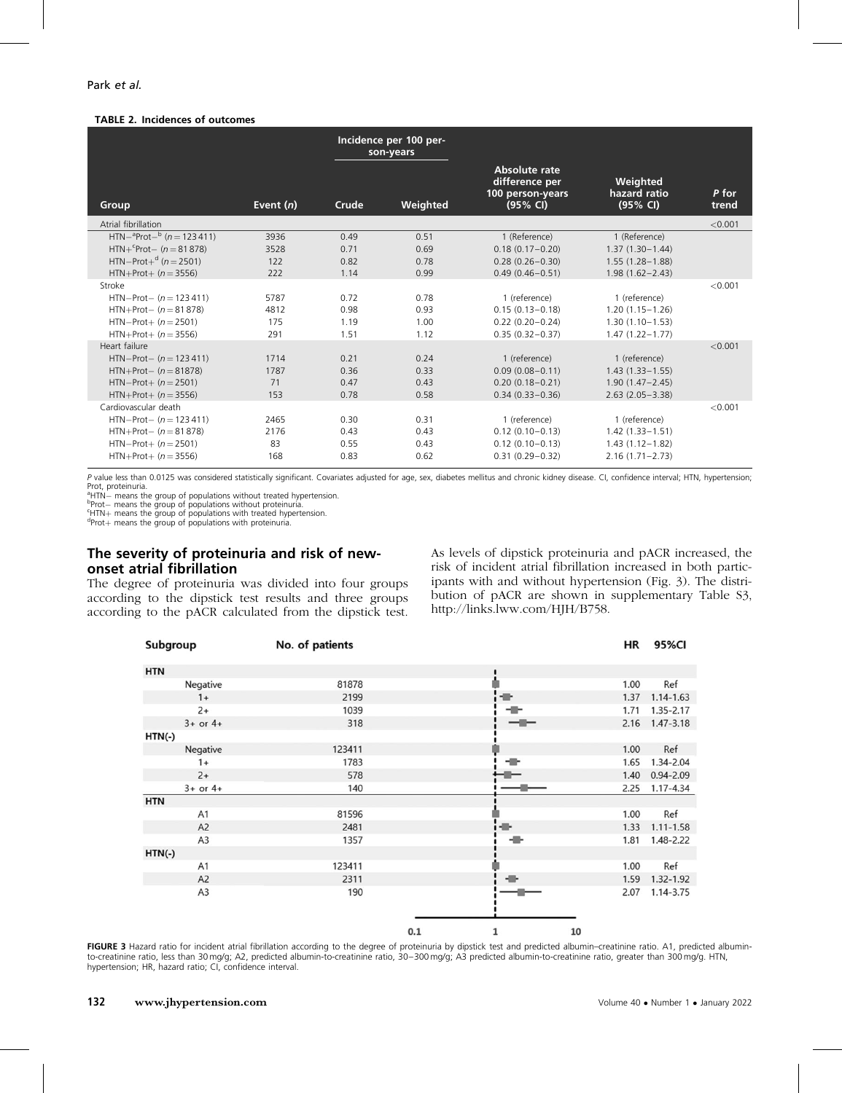#### TABLE 2. Incidences of outcomes

|                                                                                                                          |                            | Incidence per 100 per-<br>son-years |                              |                                                                                    |                                                                                    |                |
|--------------------------------------------------------------------------------------------------------------------------|----------------------------|-------------------------------------|------------------------------|------------------------------------------------------------------------------------|------------------------------------------------------------------------------------|----------------|
| Group                                                                                                                    | Event $(n)$                | Crude                               | Weighted                     | Absolute rate<br>difference per<br>100 person-years<br>(95% CI)                    | Weighted<br>hazard ratio<br>(95% CI)                                               | P for<br>trend |
| Atrial fibrillation                                                                                                      |                            |                                     |                              |                                                                                    |                                                                                    | < 0.001        |
| $HTN-{}^{a}Prot-{}^{b} (n = 123411)$<br>$HTN+^{c}Prot- (n = 81878)$<br>$HTN-Prot+d$ (n = 2501)<br>$HTN+Prot+ (n = 3556)$ | 3936<br>3528<br>122<br>222 | 0.49<br>0.71<br>0.82<br>1.14        | 0.51<br>0.69<br>0.78<br>0.99 | 1 (Reference)<br>$0.18(0.17 - 0.20)$<br>$0.28(0.26 - 0.30)$<br>$0.49(0.46 - 0.51)$ | 1 (Reference)<br>$1.37(1.30 - 1.44)$<br>$1.55(1.28 - 1.88)$<br>$1.98(1.62 - 2.43)$ |                |
| Stroke                                                                                                                   |                            |                                     |                              |                                                                                    |                                                                                    | < 0.001        |
| $HTN-Prot- (n = 123411)$<br>$HTN+Prot- (n = 81 878)$<br>$HTN-Prot+ (n = 2501)$<br>$HTN+Prot+ (n = 3556)$                 | 5787<br>4812<br>175<br>291 | 0.72<br>0.98<br>1.19<br>1.51        | 0.78<br>0.93<br>1.00<br>1.12 | 1 (reference)<br>$0.15(0.13 - 0.18)$<br>$0.22(0.20 - 0.24)$<br>$0.35(0.32 - 0.37)$ | 1 (reference)<br>$1.20(1.15 - 1.26)$<br>$1.30(1.10 - 1.53)$<br>$1.47(1.22 - 1.77)$ |                |
| Heart failure                                                                                                            |                            |                                     |                              |                                                                                    |                                                                                    | < 0.001        |
| $HTN-Prot- (n = 123411)$<br>$HTN+Prot- (n = 81878)$<br>$HTN-Prot+ (n = 2501)$<br>$HTN+Prot+ (n = 3556)$                  | 1714<br>1787<br>71<br>153  | 0.21<br>0.36<br>0.47<br>0.78        | 0.24<br>0.33<br>0.43<br>0.58 | 1 (reference)<br>$0.09(0.08 - 0.11)$<br>$0.20(0.18 - 0.21)$<br>$0.34(0.33 - 0.36)$ | 1 (reference)<br>$1.43(1.33 - 1.55)$<br>$1.90(1.47 - 2.45)$<br>$2.63(2.05 - 3.38)$ |                |
| Cardiovascular death                                                                                                     |                            |                                     |                              |                                                                                    |                                                                                    | < 0.001        |
| $HTN-Prot- (n = 123411)$<br>$HTN+Prot- (n = 81 878)$<br>$HTN-Prot+ (n = 2501)$<br>$HTN+Prot+ (n = 3556)$                 | 2465<br>2176<br>83<br>168  | 0.30<br>0.43<br>0.55<br>0.83        | 0.31<br>0.43<br>0.43<br>0.62 | 1 (reference)<br>$0.12(0.10 - 0.13)$<br>$0.12(0.10 - 0.13)$<br>$0.31(0.29 - 0.32)$ | 1 (reference)<br>$1.42(1.33 - 1.51)$<br>$1.43(1.12 - 1.82)$<br>$2.16(1.71 - 2.73)$ |                |

P value less than 0.0125 was considered statistically significant. Covariates adjusted for age, sex, diabetes mellitus and chronic kidney disease. CI, confidence interval; HTN, hypertension; Prot, proteinuria.

<sup>a</sup>HTN- means the group of populations without treated hypertension. <sup>9</sup>HTN— means the group of populations without treated hypertension.<br><sup>9</sup>Prot— means the group of populations with orate in hypertension.<br><sup>4</sup>Prot L means the group of populations with treated hypertension.

Protþ means the group of populations with proteinuria.

## The severity of proteinuria and risk of new-

## onset atrial fibrillation

The degree of proteinuria was divided into four groups according to the dipstick test results and three groups according to the pACR calculated from the dipstick test. As levels of dipstick proteinuria and pACR increased, the risk of incident atrial fibrillation increased in both participants with and without hypertension (Fig. 3). The distribution of pACR are shown in supplementary Table S3, <http://links.lww.com/HJH/B758>.

| Subgroup<br>No. of patients |        |     |         | HR   | 95%CI         |
|-----------------------------|--------|-----|---------|------|---------------|
| <b>HTN</b>                  |        |     |         |      |               |
| Negative                    | 81878  |     |         | 1.00 | Ref           |
| $1+$                        | 2199   |     | ÷       | 1.37 | $1.14 - 1.63$ |
| $2+$                        | 1039   |     | -17     | 1.71 | 1.35-2.17     |
| $3+$ or $4+$                | 318    |     | $-1$    | 2.16 | $1.47 - 3.18$ |
| $HTN(-)$                    |        |     |         |      |               |
| Negative                    | 123411 |     |         | 1.00 | Ref           |
| $1+$                        | 1783   |     |         | 1.65 | 1.34-2.04     |
| $2+$                        | 578    |     |         | 1.40 | $0.94 - 2.09$ |
| $3+$ or $4+$                | 140    |     |         | 2.25 | $1.17 - 4.34$ |
| <b>HTN</b>                  |        |     |         |      |               |
| A <sub>1</sub>              | 81596  |     |         | 1.00 | Ref           |
| A <sub>2</sub>              | 2481   |     | ÷       | 1.33 | $1.11 - 1.58$ |
| A <sub>3</sub>              | 1357   |     | ÷       | 1.81 | 1.48-2.22     |
| $HTN(-)$                    |        |     |         |      |               |
| A <sub>1</sub>              | 123411 |     |         | 1.00 | Ref           |
| A <sub>2</sub>              | 2311   |     | ÷       | 1.59 | 1.32-1.92     |
| A <sub>3</sub>              | 190    |     |         | 2.07 | 1.14-3.75     |
|                             |        |     |         |      |               |
|                             |        | 0.1 | 10<br>1 |      |               |

FIGURE 3 Hazard ratio for incident atrial fibrillation according to the degree of proteinuria by dipstick test and predicted albumin-creatinine ratio. A1, predicted albuminto-creatinine ratio, less than 30 mg/g; A2, predicted albumin-to-creatinine ratio, 30–300 mg/g; A3 predicted albumin-to-creatinine ratio, greater than 300 mg/g. HTN, hypertension; HR, hazard ratio; CI, confidence interval.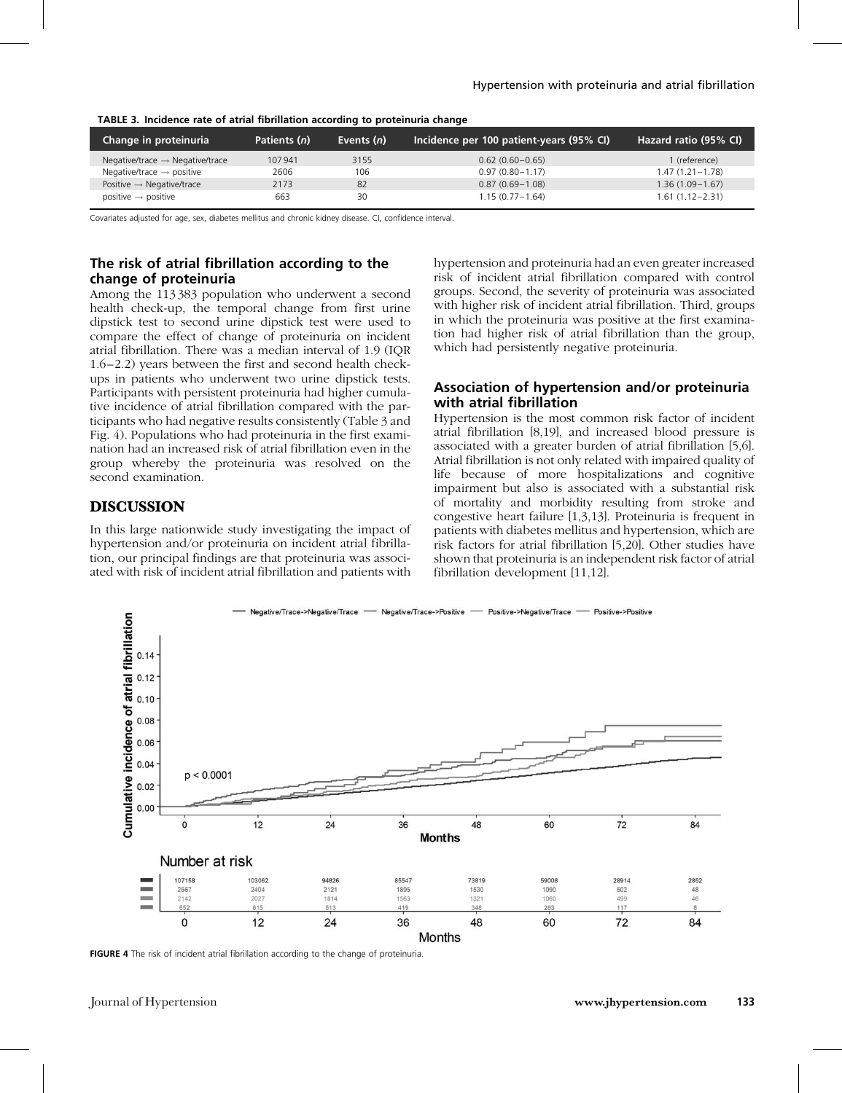| Change in proteinuria                       | Patients (n) | Events (n) | Incidence per 100 patient-years (95% CI) | Hazard ratio (95% CI) |
|---------------------------------------------|--------------|------------|------------------------------------------|-----------------------|
| Negative/trace $\rightarrow$ Negative/trace | 107941       | 3155       | $0.62(0.60 - 0.65)$                      | 1 (reference)         |
| Negative/trace $\rightarrow$ positive       | 2606         | 106        | $0.97(0.80 - 1.17)$                      | $1.47(1.21 - 1.78)$   |
| Positive $\rightarrow$ Negative/trace       | 2173         | 82         | $0.87(0.69 - 1.08)$                      | $1.36(1.09 - 1.67)$   |
| positive $\rightarrow$ positive             | 663          | 30         | $1.15(0.77 - 1.64)$                      | $1.61(1.12 - 2.31)$   |

#### TABLE 3. Incidence rate of atrial fibrillation according to proteinuria change

Covariates adjusted for age, sex, diabetes mellitus and chronic kidney disease. CI, confidence interval.

## The risk of atrial fibrillation according to the change of proteinuria

Among the 113 383 population who underwent a second health check-up, the temporal change from first urine dipstick test to second urine dipstick test were used to compare the effect of change of proteinuria on incident atrial fibrillation. There was a median interval of 1.9 (IQR 1.6–2.2) years between the first and second health checkups in patients who underwent two urine dipstick tests. Participants with persistent proteinuria had higher cumulative incidence of atrial fibrillation compared with the participants who had negative results consistently (Table 3 and Fig. 4). Populations who had proteinuria in the first examination had an increased risk of atrial fibrillation even in the group whereby the proteinuria was resolved on the second examination.

## **DISCUSSION**

In this large nationwide study investigating the impact of hypertension and/or proteinuria on incident atrial fibrillation, our principal findings are that proteinuria was associated with risk of incident atrial fibrillation and patients with hypertension and proteinuria had an even greater increased risk of incident atrial fibrillation compared with control groups. Second, the severity of proteinuria was associated with higher risk of incident atrial fibrillation. Third, groups in which the proteinuria was positive at the first examination had higher risk of atrial fibrillation than the group, which had persistently negative proteinuria.

## Association of hypertension and/or proteinuria with atrial fibrillation

Hypertension is the most common risk factor of incident atrial fibrillation [\[8,19\],](#page-7-0) and increased blood pressure is associated with a greater burden of atrial fibrillation [\[5,6\]](#page-6-0). Atrial fibrillation is not only related with impaired quality of life because of more hospitalizations and cognitive impairment but also is associated with a substantial risk of mortality and morbidity resulting from stroke and congestive heart failure [\[1,3,13\].](#page-6-0) Proteinuria is frequent in patients with diabetes mellitus and hypertension, which are risk factors for atrial fibrillation [\[5,20\].](#page-6-0) Other studies have shown that proteinuria is an independent risk factor of atrial fibrillation development [\[11,12\]](#page-7-0).



FIGURE 4 The risk of incident atrial fibrillation according to the change of proteinuria.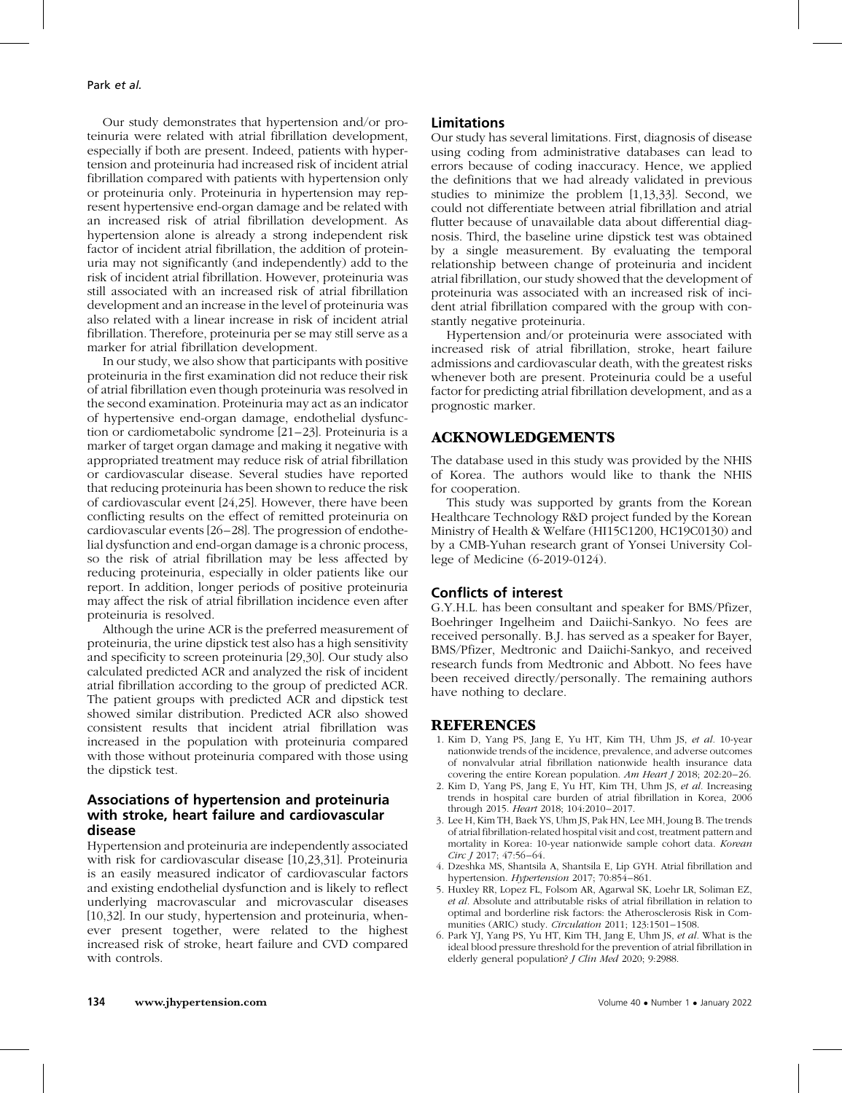<span id="page-6-0"></span>Our study demonstrates that hypertension and/or proteinuria were related with atrial fibrillation development, especially if both are present. Indeed, patients with hypertension and proteinuria had increased risk of incident atrial fibrillation compared with patients with hypertension only or proteinuria only. Proteinuria in hypertension may represent hypertensive end-organ damage and be related with an increased risk of atrial fibrillation development. As hypertension alone is already a strong independent risk factor of incident atrial fibrillation, the addition of proteinuria may not significantly (and independently) add to the risk of incident atrial fibrillation. However, proteinuria was still associated with an increased risk of atrial fibrillation development and an increase in the level of proteinuria was also related with a linear increase in risk of incident atrial fibrillation. Therefore, proteinuria per se may still serve as a marker for atrial fibrillation development.

In our study, we also show that participants with positive proteinuria in the first examination did not reduce their risk of atrial fibrillation even though proteinuria was resolved in the second examination. Proteinuria may act as an indicator of hypertensive end-organ damage, endothelial dysfunction or cardiometabolic syndrome [\[21–23\].](#page-7-0) Proteinuria is a marker of target organ damage and making it negative with appropriated treatment may reduce risk of atrial fibrillation or cardiovascular disease. Several studies have reported that reducing proteinuria has been shown to reduce the risk of cardiovascular event [\[24,25\].](#page-7-0) However, there have been conflicting results on the effect of remitted proteinuria on cardiovascular events [\[26–28\]](#page-7-0). The progression of endothelial dysfunction and end-organ damage is a chronic process, so the risk of atrial fibrillation may be less affected by reducing proteinuria, especially in older patients like our report. In addition, longer periods of positive proteinuria may affect the risk of atrial fibrillation incidence even after proteinuria is resolved.

Although the urine ACR is the preferred measurement of proteinuria, the urine dipstick test also has a high sensitivity and specificity to screen proteinuria [\[29,30\]](#page-7-0). Our study also calculated predicted ACR and analyzed the risk of incident atrial fibrillation according to the group of predicted ACR. The patient groups with predicted ACR and dipstick test showed similar distribution. Predicted ACR also showed consistent results that incident atrial fibrillation was increased in the population with proteinuria compared with those without proteinuria compared with those using the dipstick test.

## Associations of hypertension and proteinuria with stroke, heart failure and cardiovascular disease

Hypertension and proteinuria are independently associated with risk for cardiovascular disease [\[10,23,31\]](#page-7-0). Proteinuria is an easily measured indicator of cardiovascular factors and existing endothelial dysfunction and is likely to reflect underlying macrovascular and microvascular diseases [\[10,32\]](#page-7-0). In our study, hypertension and proteinuria, whenever present together, were related to the highest increased risk of stroke, heart failure and CVD compared with controls.

#### Limitations

Our study has several limitations. First, diagnosis of disease using coding from administrative databases can lead to errors because of coding inaccuracy. Hence, we applied the definitions that we had already validated in previous studies to minimize the problem [1,13,33]. Second, we could not differentiate between atrial fibrillation and atrial flutter because of unavailable data about differential diagnosis. Third, the baseline urine dipstick test was obtained by a single measurement. By evaluating the temporal relationship between change of proteinuria and incident atrial fibrillation, our study showed that the development of proteinuria was associated with an increased risk of incident atrial fibrillation compared with the group with constantly negative proteinuria.

Hypertension and/or proteinuria were associated with increased risk of atrial fibrillation, stroke, heart failure admissions and cardiovascular death, with the greatest risks whenever both are present. Proteinuria could be a useful factor for predicting atrial fibrillation development, and as a prognostic marker.

## ACKNOWLEDGEMENTS

The database used in this study was provided by the NHIS of Korea. The authors would like to thank the NHIS for cooperation.

This study was supported by grants from the Korean Healthcare Technology R&D project funded by the Korean Ministry of Health & Welfare (HI15C1200, HC19C0130) and by a CMB-Yuhan research grant of Yonsei University College of Medicine (6-2019-0124).

#### Conflicts of interest

G.Y.H.L. has been consultant and speaker for BMS/Pfizer, Boehringer Ingelheim and Daiichi-Sankyo. No fees are received personally. B.J. has served as a speaker for Bayer, BMS/Pfizer, Medtronic and Daiichi-Sankyo, and received research funds from Medtronic and Abbott. No fees have been received directly/personally. The remaining authors have nothing to declare.

## **REFERENCES**

- 1. Kim D, Yang PS, Jang E, Yu HT, Kim TH, Uhm JS, et al. 10-year nationwide trends of the incidence, prevalence, and adverse outcomes of nonvalvular atrial fibrillation nationwide health insurance data covering the entire Korean population. Am Heart J 2018; 202:20–26.
- 2. Kim D, Yang PS, Jang E, Yu HT, Kim TH, Uhm JS, et al. Increasing trends in hospital care burden of atrial fibrillation in Korea, 2006 through 2015. Heart 2018; 104:2010–2017.
- 3. Lee H, Kim TH, Baek YS, Uhm JS, Pak HN, Lee MH, Joung B. The trends of atrial fibrillation-related hospital visit and cost, treatment pattern and mortality in Korea: 10-year nationwide sample cohort data. Korean Circ J 2017; 47:56–64.
- 4. Dzeshka MS, Shantsila A, Shantsila E, Lip GYH. Atrial fibrillation and hypertension. Hypertension 2017; 70:854–861.
- 5. Huxley RR, Lopez FL, Folsom AR, Agarwal SK, Loehr LR, Soliman EZ, et al. Absolute and attributable risks of atrial fibrillation in relation to optimal and borderline risk factors: the Atherosclerosis Risk in Communities (ARIC) study. Circulation 2011; 123:1501–1508.
- 6. Park YJ, Yang PS, Yu HT, Kim TH, Jang E, Uhm JS, et al. What is the ideal blood pressure threshold for the prevention of atrial fibrillation in elderly general population? J Clin Med 2020; 9:2988.